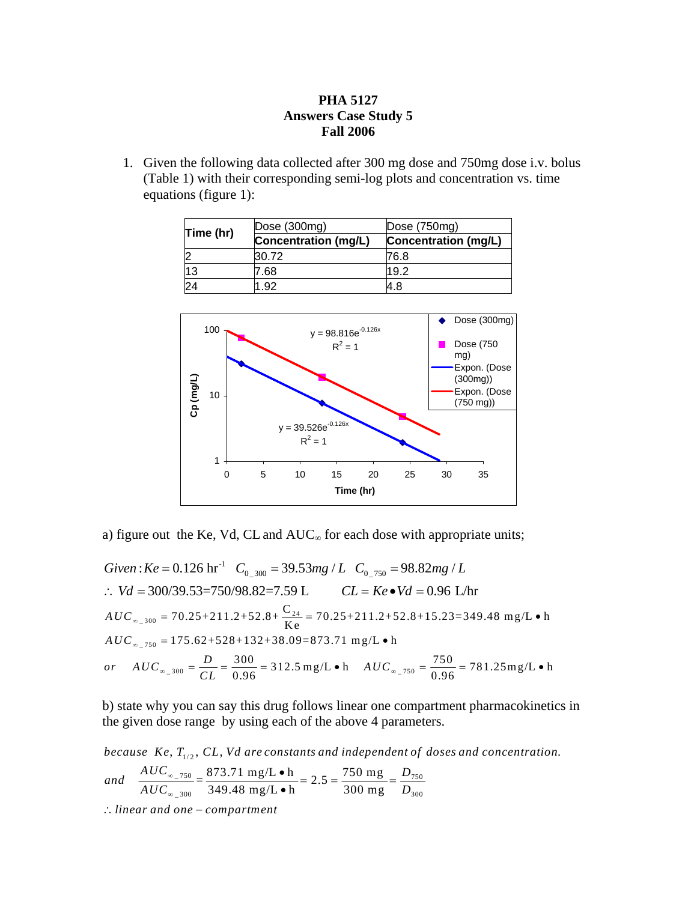## **PHA 5127 Answers Case Study 5 Fall 2006**

1. Given the following data collected after 300 mg dose and 750mg dose i.v. bolus (Table 1) with their corresponding semi-log plots and concentration vs. time equations (figure 1):

| Time (hr) | Dose (300mg)         | Dose $(750mg)$              |  |
|-----------|----------------------|-----------------------------|--|
|           | Concentration (mg/L) | <b>Concentration (mg/L)</b> |  |
|           | 30.72                | 76.8                        |  |
| 13        | 7.68                 | 19.2                        |  |
| 24        | .92                  | 4.8                         |  |



a) figure out the Ke, Vd, CL and  $AUC_{\infty}$  for each dose with appropriate units;

Given :  $Ke = 0.126 \text{ hr}^{-1}$   $C_{0.300} = 39.53 mg / L$   $C_{0.750} = 98.82 mg / L$ ∴  $Vd = 300/39.53 = 750/98.82 = 7.59$  L  $CL = Ke •Vd = 0.96$  L/hr  $AUC_{\infty_2 300} = 70.25 + 211.2 + 52.8 + \frac{C_{24}}{Ke} = 70.25 + 211.2 + 52.8 + 15.23 = 349.48$  mg/L • h  $AUC_{\infty 750} = 175.62 + 528 + 132 + 38.09 = 873.71$  mg/L • h *or*  $AUC_{_{\infty_2}300} = \frac{D}{CL} = \frac{300}{0.96} = 312.5$  mg/L • h  $AUC_{_{\infty_2}750} = \frac{750}{0.96} = 781.25$  mg/L • h

b) state why you can say this drug follows linear one compartment pharmacokinetics in the given dose range by using each of the above 4 parameters.

because  $Ke, T_{1/2}, \, CL, Vd$  are constants and independent of doses and concentration.

and 
$$
\frac{AUC_{\infty 750}}{AUC_{\infty 300}} = \frac{873.71 \text{ mg/L} \cdot \text{h}}{349.48 \text{ mg/L} \cdot \text{h}} = 2.5 = \frac{750 \text{ mg}}{300 \text{ mg}} = \frac{D_{750}}{D_{300}}
$$

∴ linear and one – compartment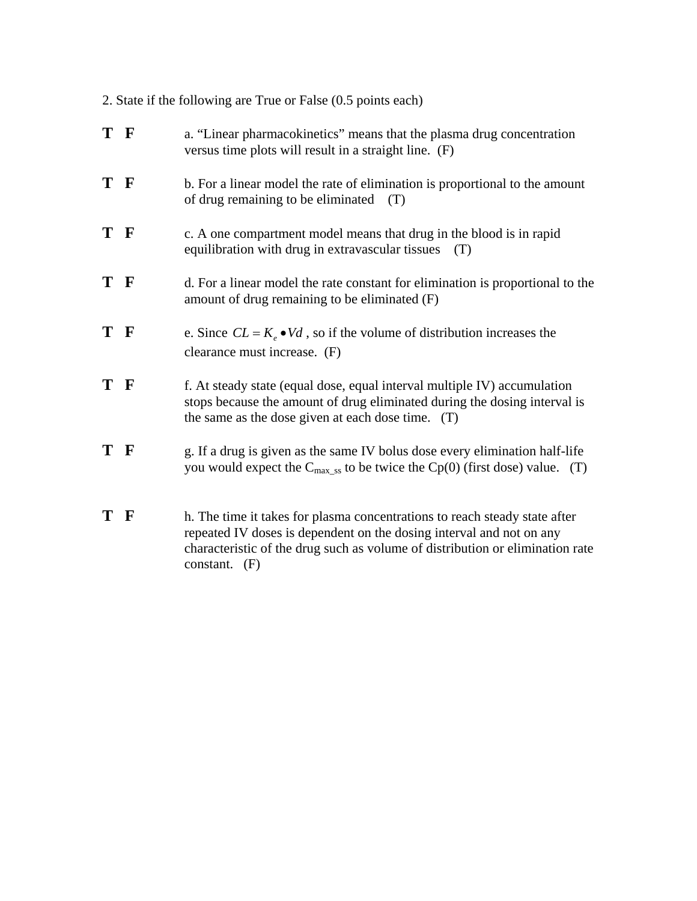2. State if the following are True or False (0.5 points each)

| T F | a. "Linear pharmacokinetics" means that the plasma drug concentration<br>versus time plots will result in a straight line. (F)                                                                             |  |
|-----|------------------------------------------------------------------------------------------------------------------------------------------------------------------------------------------------------------|--|
| T F | b. For a linear model the rate of elimination is proportional to the amount<br>of drug remaining to be eliminated<br>(T)                                                                                   |  |
| T F | c. A one compartment model means that drug in the blood is in rapid<br>equilibration with drug in extravascular tissues<br>(T)                                                                             |  |
| T F | d. For a linear model the rate constant for elimination is proportional to the<br>amount of drug remaining to be eliminated $(F)$                                                                          |  |
| T F | e. Since $CL = K_{\rho} \bullet Vd$ , so if the volume of distribution increases the<br>clearance must increase. (F)                                                                                       |  |
| T F | f. At steady state (equal dose, equal interval multiple IV) accumulation<br>stops because the amount of drug eliminated during the dosing interval is<br>the same as the dose given at each dose time. (T) |  |
| T F | g. If a drug is given as the same IV bolus dose every elimination half-life<br>you would expect the $C_{max\_ss}$ to be twice the Cp(0) (first dose) value. (T)                                            |  |
| T F | h. The time it takes for plasma concentrations to reach steady state after                                                                                                                                 |  |

repeated IV doses is dependent on the dosing interval and not on any characteristic of the drug such as volume of distribution or elimination rate constant. (F)